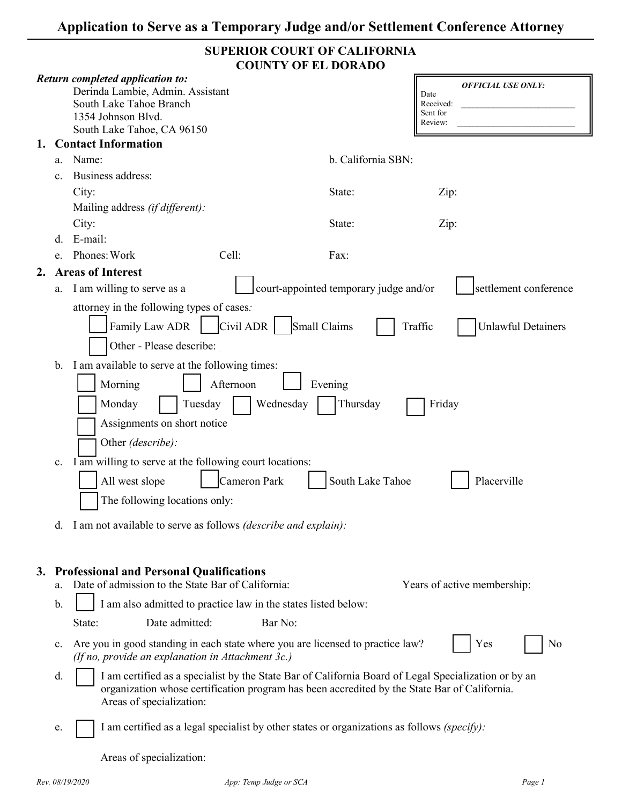| SUPERIOR COURT OF CALIFORNIA |
|------------------------------|
| <b>COUNTY OF EL DORADO</b>   |

|    |                            |                                                                                                                                                                                                                                                                                                                                                                                                                                                          | COUNTT OF EL DONADO                                                  |                                                                       |
|----|----------------------------|----------------------------------------------------------------------------------------------------------------------------------------------------------------------------------------------------------------------------------------------------------------------------------------------------------------------------------------------------------------------------------------------------------------------------------------------------------|----------------------------------------------------------------------|-----------------------------------------------------------------------|
|    |                            | <b>Return completed application to:</b><br>Derinda Lambie, Admin. Assistant<br>South Lake Tahoe Branch<br>1354 Johnson Blvd.<br>South Lake Tahoe, CA 96150                                                                                                                                                                                                                                                                                               |                                                                      | <b>OFFICIAL USE ONLY:</b><br>Date<br>Received:<br>Sent for<br>Review: |
| 1. |                            | <b>Contact Information</b>                                                                                                                                                                                                                                                                                                                                                                                                                               |                                                                      |                                                                       |
|    | a.                         | Name:                                                                                                                                                                                                                                                                                                                                                                                                                                                    | b. California SBN:                                                   |                                                                       |
|    | $\mathbf{c}$ .             | Business address:                                                                                                                                                                                                                                                                                                                                                                                                                                        |                                                                      |                                                                       |
|    |                            | City:                                                                                                                                                                                                                                                                                                                                                                                                                                                    | State:                                                               | Zip:                                                                  |
|    |                            | Mailing address (if different):                                                                                                                                                                                                                                                                                                                                                                                                                          |                                                                      |                                                                       |
|    |                            | City:                                                                                                                                                                                                                                                                                                                                                                                                                                                    | State:                                                               | Zip:                                                                  |
|    | d.                         | E-mail:                                                                                                                                                                                                                                                                                                                                                                                                                                                  |                                                                      |                                                                       |
|    | e.                         | Phones: Work<br>Cell:                                                                                                                                                                                                                                                                                                                                                                                                                                    | Fax:                                                                 |                                                                       |
| 2. |                            | <b>Areas of Interest</b>                                                                                                                                                                                                                                                                                                                                                                                                                                 |                                                                      |                                                                       |
|    | a.                         | I am willing to serve as a                                                                                                                                                                                                                                                                                                                                                                                                                               | court-appointed temporary judge and/or                               | settlement conference                                                 |
|    | $\mathbf{b}$ .<br>c.<br>d. | attorney in the following types of cases:<br>Civil ADR<br>Family Law ADR<br>Other - Please describe:<br>I am available to serve at the following times:<br>Afternoon<br>Morning<br>Monday<br>Tuesday<br>Assignments on short notice<br>Other (describe):<br>I am willing to serve at the following court locations:<br>Cameron Park<br>All west slope<br>The following locations only:<br>I am not available to serve as follows (describe and explain): | Small Claims<br>Evening<br>Wednesday<br>Thursday<br>South Lake Tahoe | Traffic<br><b>Unlawful Detainers</b><br>Friday<br>Placerville         |
| 3. | a.<br>b.                   | <b>Professional and Personal Qualifications</b><br>Date of admission to the State Bar of California:<br>I am also admitted to practice law in the states listed below:                                                                                                                                                                                                                                                                                   |                                                                      | Years of active membership:                                           |
|    |                            | Date admitted:<br>State:                                                                                                                                                                                                                                                                                                                                                                                                                                 | Bar No:                                                              |                                                                       |
|    | $\mathbf{c}$ .             | Are you in good standing in each state where you are licensed to practice law?<br>(If no, provide an explanation in Attachment 3c.)                                                                                                                                                                                                                                                                                                                      |                                                                      | Yes<br>No                                                             |
|    | d.                         | I am certified as a specialist by the State Bar of California Board of Legal Specialization or by an<br>organization whose certification program has been accredited by the State Bar of California.<br>Areas of specialization:                                                                                                                                                                                                                         |                                                                      |                                                                       |
|    | e.                         | I am certified as a legal specialist by other states or organizations as follows (specify):                                                                                                                                                                                                                                                                                                                                                              |                                                                      |                                                                       |

Areas of specialization: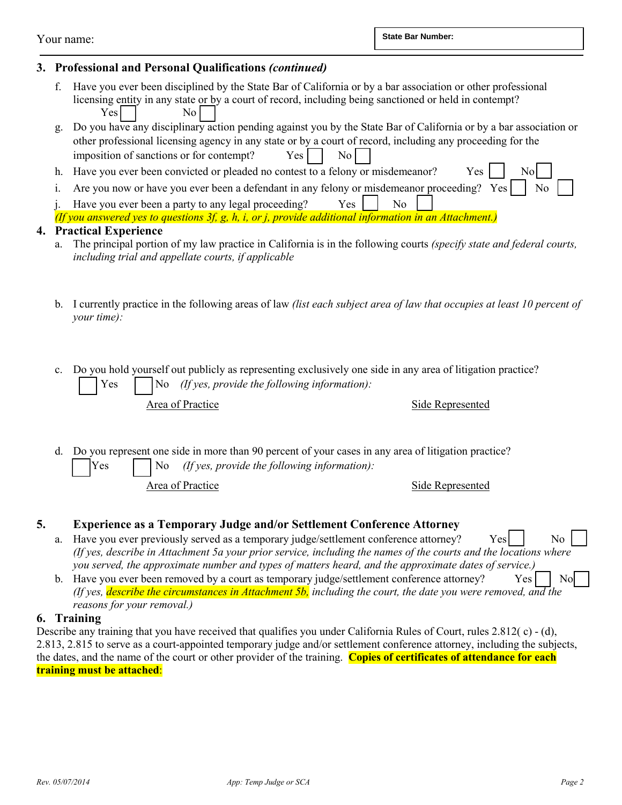Your name:

# **3. Professional and Personal Qualifications** *(continued)*

- f. Have you ever been disciplined by the State Bar of California or by a bar association or other professional licensing entity in any state or by a court of record, including being sanctioned or held in contempt? Yes No
- g. Do you have any disciplinary action pending against you by the State Bar of California or by a bar association or other professional licensing agency in any state or by a court of record, including any proceeding for the imposition of sanctions or for contempt?  $Yes$   $\begin{array}{|c|c|} \hline \end{array}$  No
- h. Have you ever been convicted or pleaded no contest to a felony or misdemeanor? Yes | No
- i. Are you now or have you ever been a defendant in any felony or misdemeanor proceeding? Yes  $\parallel$  No
- j. Have you ever been a party to any legal proceeding?  $Yes$  | No

# **4. Practical Experience**

- a. The principal portion of my law practice in California is in the following courts *(specify state and federal courts, including trial and appellate courts, if applicable*
- b. I currently practice in the following areas of law *(list each subject area of law that occupies at least 10 percent of your time):*
- c. Do you hold yourself out publicly as representing exclusively one side in any area of litigation practice? Yes  $\vert$  No *(If yes, provide the following information)*:

Area of Practice Side Represented

d. Do you represent one side in more than 90 percent of your cases in any area of litigation practice? Yes  $\vert$  No *(If yes, provide the following information):* 

Area of Practice Side Represented

## **5. Experience as a Temporary Judge and/or Settlement Conference Attorney**

- a. Have you ever previously served as a temporary judge/settlement conference attorney? Yes  $\vert$  No *(If yes, describe in Attachment 5a your prior service, including the names of the courts and the locations where you served, the approximate number and types of matters heard, and the approximate dates of service.)*
- b. Have you ever been removed by a court as temporary judge/settlement conference attorney? Yes  $\vert$  No *(If yes, describe the circumstances in Attachment 5b, including the court, the date you were removed, and the reasons for your removal.)*

#### **6. Training**

Describe any training that you have received that qualifies you under California Rules of Court, rules 2.812(c) - (d), 2.813, 2.815 to serve as a court-appointed temporary judge and/or settlement conference attorney, including the subjects, the dates, and the name of the court or other provider of the training. **Copies of certificates of attendance for each training must be attached**: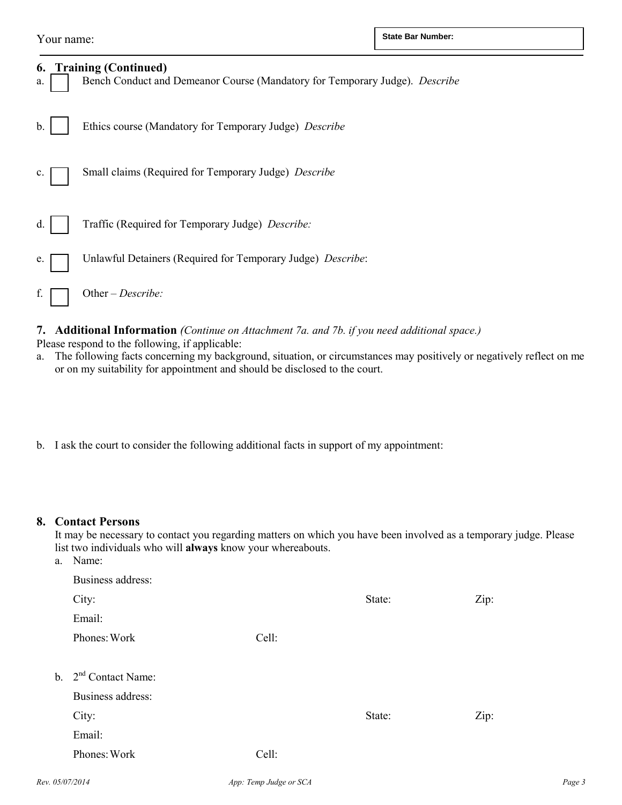| 6.<br>a.      | <b>Training (Continued)</b><br>Bench Conduct and Demeanor Course (Mandatory for Temporary Judge). Describe |
|---------------|------------------------------------------------------------------------------------------------------------|
| $\mathbf b$ . | Ethics course (Mandatory for Temporary Judge) Describe                                                     |
| c.            | Small claims (Required for Temporary Judge) Describe                                                       |
| d.            | Traffic (Required for Temporary Judge) Describe:                                                           |
| e.            | Unlawful Detainers (Required for Temporary Judge) Describe:                                                |
|               | Other – Describe:                                                                                          |

**7. Additional Information** *(Continue on Attachment 7a. and 7b. if you need additional space.)* Please respond to the following, if applicable:

- a. The following facts concerning my background, situation, or circumstances may positively or negatively reflect on me or on my suitability for appointment and should be disclosed to the court.
- b. I ask the court to consider the following additional facts in support of my appointment:

#### **8. Contact Persons**

It may be necessary to contact you regarding matters on which you have been involved as a temporary judge. Please list two individuals who will **always** know your whereabouts. a. Name:

| а. | <b>Natile.</b>         |       |        |      |
|----|------------------------|-------|--------|------|
|    | Business address:      |       |        |      |
|    | City:                  |       | State: | Zip: |
|    | Email:                 |       |        |      |
|    | Phones: Work           | Cell: |        |      |
|    |                        |       |        |      |
|    | b. $2nd$ Contact Name: |       |        |      |
|    | Business address:      |       |        |      |
|    | City:                  |       | State: | Zip: |
|    | Email:                 |       |        |      |
|    | Phones: Work           | Cell: |        |      |
|    |                        |       |        |      |

*Rev. 05/07/2014 App: Temp Judge or SCA Page 3*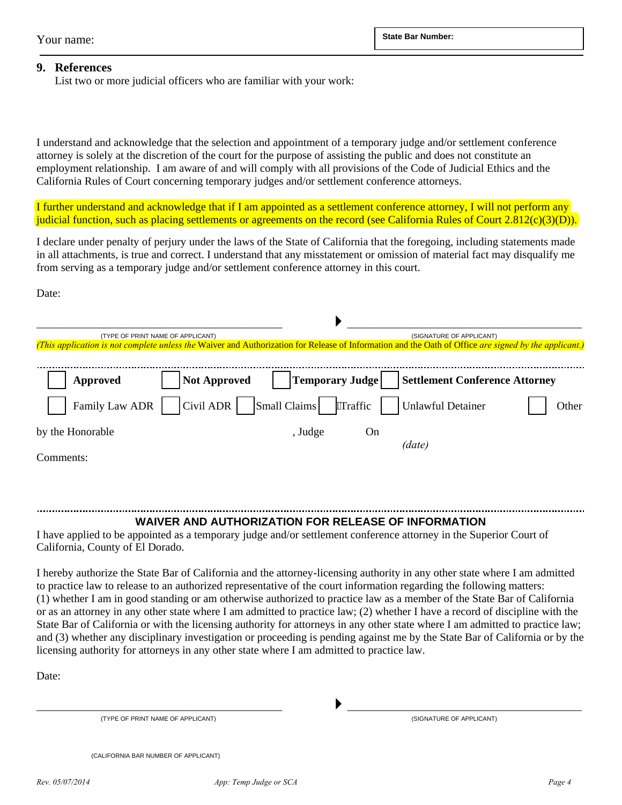#### **9. References**

List two or more judicial officers who are familiar with your work:

I understand and acknowledge that the selection and appointment of a temporary judge and/or settlement conference attorney is solely at the discretion of the court for the purpose of assisting the public and does not constitute an employment relationship. I am aware of and will comply with all provisions of the Code of Judicial Ethics and the California Rules of Court concerning temporary judges and/or settlement conference attorneys.

I further understand and acknowledge that if I am appointed as a settlement conference attorney, I will not perform any judicial function, such as placing settlements or agreements on the record (see California Rules of Court 2.812(c)(3)(D)).

I declare under penalty of perjury under the laws of the State of California that the foregoing, including statements made in all attachments, is true and correct. I understand that any misstatement or omission of material fact may disqualify me from serving as a temporary judge and/or settlement conference attorney in this court.

Date:

| (TYPE OF PRINT NAME OF APPLICANT) |                          | (SIGNATURE OF APPLICANT)<br>(This application is not complete unless the Waiver and Authorization for Release of Information and the Oath of Office are signed by the applicant.) |                        |                                       |       |  |
|-----------------------------------|--------------------------|-----------------------------------------------------------------------------------------------------------------------------------------------------------------------------------|------------------------|---------------------------------------|-------|--|
|                                   |                          |                                                                                                                                                                                   |                        |                                       |       |  |
| <b>Approved</b>                   | <b>Not Approved</b>      |                                                                                                                                                                                   | <b>Temporary Judge</b> | <b>Settlement Conference Attorney</b> |       |  |
| Family Law ADR                    | Civil ADR   Small Claims |                                                                                                                                                                                   | "Traffic               | <b>Unlawful Detainer</b>              | Other |  |
| by the Honorable                  |                          | , Judge                                                                                                                                                                           | On                     | (date)                                |       |  |
| Comments:                         |                          |                                                                                                                                                                                   |                        |                                       |       |  |

## **WAIVER AND AUTHORIZATION FOR RELEASE OF INFORMATION**

I have applied to be appointed as a temporary judge and/or settlement conference attorney in the Superior Court of California, County of El Dorado.

I hereby authorize the State Bar of California and the attorney-licensing authority in any other state where I am admitted to practice law to release to an authorized representative of the court information regarding the following matters: (1) whether I am in good standing or am otherwise authorized to practice law as a member of the State Bar of California or as an attorney in any other state where I am admitted to practice law; (2) whether I have a record of discipline with the State Bar of California or with the licensing authority for attorneys in any other state where I am admitted to practice law; and (3) whether any disciplinary investigation or proceeding is pending against me by the State Bar of California or by the licensing authority for attorneys in any other state where I am admitted to practice law.

Date:

 $\longrightarrow$  . The contract of the contract of the contract of the contract of the contract of the contract of the contract of the contract of the contract of the contract of the contract of the contract of the contract of the co (TYPE OF PRINT NAME OF APPLICANT) (SIGNATURE OF APPLICANT)

(CALIFORNIA BAR NUMBER OF APPLICANT)